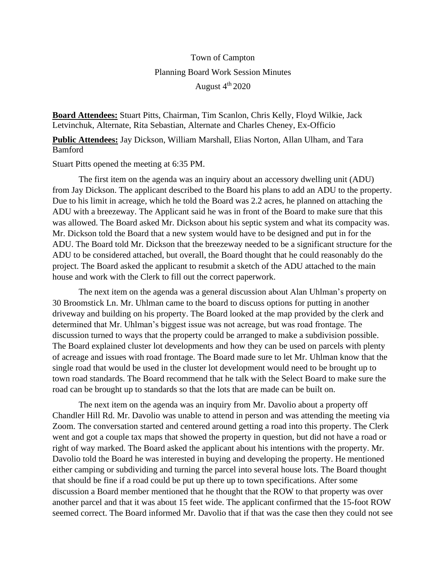## Town of Campton Planning Board Work Session Minutes August 4<sup>th</sup> 2020

**Board Attendees:** Stuart Pitts, Chairman, Tim Scanlon, Chris Kelly, Floyd Wilkie, Jack Letvinchuk, Alternate, Rita Sebastian, Alternate and Charles Cheney, Ex-Officio

**Public Attendees:** Jay Dickson, William Marshall, Elias Norton, Allan Ulham, and Tara Bamford

Stuart Pitts opened the meeting at 6:35 PM.

The first item on the agenda was an inquiry about an accessory dwelling unit (ADU) from Jay Dickson. The applicant described to the Board his plans to add an ADU to the property. Due to his limit in acreage, which he told the Board was 2.2 acres, he planned on attaching the ADU with a breezeway. The Applicant said he was in front of the Board to make sure that this was allowed. The Board asked Mr. Dickson about his septic system and what its compacity was. Mr. Dickson told the Board that a new system would have to be designed and put in for the ADU. The Board told Mr. Dickson that the breezeway needed to be a significant structure for the ADU to be considered attached, but overall, the Board thought that he could reasonably do the project. The Board asked the applicant to resubmit a sketch of the ADU attached to the main house and work with the Clerk to fill out the correct paperwork.

The next item on the agenda was a general discussion about Alan Uhlman's property on 30 Broomstick Ln. Mr. Uhlman came to the board to discuss options for putting in another driveway and building on his property. The Board looked at the map provided by the clerk and determined that Mr. Uhlman's biggest issue was not acreage, but was road frontage. The discussion turned to ways that the property could be arranged to make a subdivision possible. The Board explained cluster lot developments and how they can be used on parcels with plenty of acreage and issues with road frontage. The Board made sure to let Mr. Uhlman know that the single road that would be used in the cluster lot development would need to be brought up to town road standards. The Board recommend that he talk with the Select Board to make sure the road can be brought up to standards so that the lots that are made can be built on.

The next item on the agenda was an inquiry from Mr. Davolio about a property off Chandler Hill Rd. Mr. Davolio was unable to attend in person and was attending the meeting via Zoom. The conversation started and centered around getting a road into this property. The Clerk went and got a couple tax maps that showed the property in question, but did not have a road or right of way marked. The Board asked the applicant about his intentions with the property. Mr. Davolio told the Board he was interested in buying and developing the property. He mentioned either camping or subdividing and turning the parcel into several house lots. The Board thought that should be fine if a road could be put up there up to town specifications. After some discussion a Board member mentioned that he thought that the ROW to that property was over another parcel and that it was about 15 feet wide. The applicant confirmed that the 15-foot ROW seemed correct. The Board informed Mr. Davolio that if that was the case then they could not see